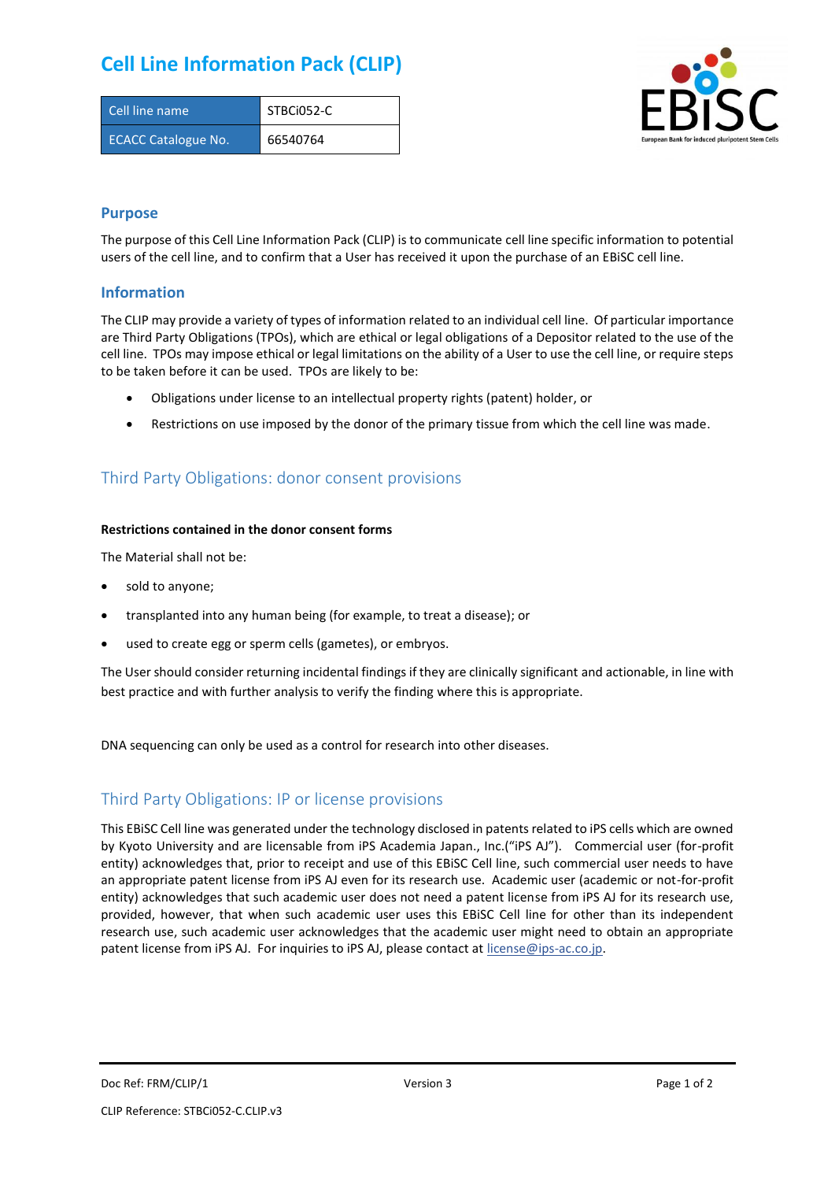## **Cell Line Information Pack (CLIP)**

| Cell line name             | STBCi052-C |
|----------------------------|------------|
| <b>ECACC Catalogue No.</b> | 66540764   |



### **Purpose**

The purpose of this Cell Line Information Pack (CLIP) is to communicate cell line specific information to potential users of the cell line, and to confirm that a User has received it upon the purchase of an EBiSC cell line.

### **Information**

The CLIP may provide a variety of types of information related to an individual cell line. Of particular importance are Third Party Obligations (TPOs), which are ethical or legal obligations of a Depositor related to the use of the cell line. TPOs may impose ethical or legal limitations on the ability of a User to use the cell line, or require steps to be taken before it can be used. TPOs are likely to be:

- Obligations under license to an intellectual property rights (patent) holder, or
- Restrictions on use imposed by the donor of the primary tissue from which the cell line was made.

## Third Party Obligations: donor consent provisions

#### **Restrictions contained in the donor consent forms**

The Material shall not be:

- sold to anyone;
- transplanted into any human being (for example, to treat a disease); or
- used to create egg or sperm cells (gametes), or embryos.

The User should consider returning incidental findings if they are clinically significant and actionable, in line with best practice and with further analysis to verify the finding where this is appropriate.

DNA sequencing can only be used as a control for research into other diseases.

## Third Party Obligations: IP or license provisions

This EBiSC Cell line was generated under the technology disclosed in patents related to iPS cells which are owned by Kyoto University and are licensable from iPS Academia Japan., Inc.("iPS AJ"). Commercial user (for-profit entity) acknowledges that, prior to receipt and use of this EBiSC Cell line, such commercial user needs to have an appropriate patent license from iPS AJ even for its research use. Academic user (academic or not-for-profit entity) acknowledges that such academic user does not need a patent license from iPS AJ for its research use, provided, however, that when such academic user uses this EBiSC Cell line for other than its independent research use, such academic user acknowledges that the academic user might need to obtain an appropriate patent license from iPS AJ. For inquiries to iPS AJ, please contact at [license@ips-ac.co.jp.](mailto:license@ips-ac.co.jp)